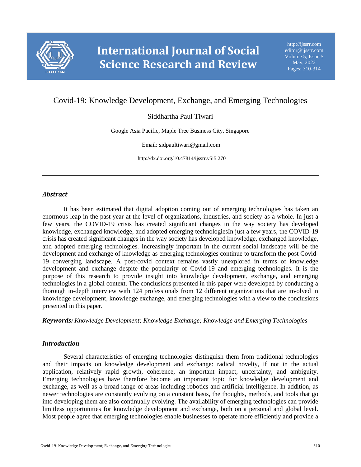

# Covid-19: Knowledge Development, Exchange, and Emerging Technologies

# Siddhartha Paul Tiwari

Google Asia Pacific, Maple Tree Business City, Singapore

Email: sidpaultiwari@gmail.com

http://dx.doi.org/10.47814/ijssrr.v5i5.270

# *Abstract*

It has been estimated that digital adoption coming out of emerging technologies has taken an enormous leap in the past year at the level of organizations, industries, and society as a whole. In just a few years, the COVID-19 crisis has created significant changes in the way society has developed knowledge, exchanged knowledge, and adopted emerging technologiesIn just a few years, the COVID-19 crisis has created significant changes in the way society has developed knowledge, exchanged knowledge, and adopted emerging technologies. Increasingly important in the current social landscape will be the development and exchange of knowledge as emerging technologies continue to transform the post Covid-19 converging landscape. A post-covid context remains vastly unexplored in terms of knowledge development and exchange despite the popularity of Covid-19 and emerging technologies. It is the purpose of this research to provide insight into knowledge development, exchange, and emerging technologies in a global context. The conclusions presented in this paper were developed by conducting a thorough in-depth interview with 124 professionals from 12 different organizations that are involved in knowledge development, knowledge exchange, and emerging technologies with a view to the conclusions presented in this paper.

*Keywords: Knowledge Development; Knowledge Exchange; Knowledge and Emerging Technologies*

# *Introduction*

Several characteristics of emerging technologies distinguish them from traditional technologies and their impacts on knowledge development and exchange: radical novelty, if not in the actual application, relatively rapid growth, coherence, an important impact, uncertainty, and ambiguity. Emerging technologies have therefore become an important topic for knowledge development and exchange, as well as a broad range of areas including robotics and artificial intelligence. In addition, as newer technologies are constantly evolving on a constant basis, the thoughts, methods, and tools that go into developing them are also continually evolving. The availability of emerging technologies can provide limitless opportunities for knowledge development and exchange, both on a personal and global level. Most people agree that emerging technologies enable businesses to operate more efficiently and provide a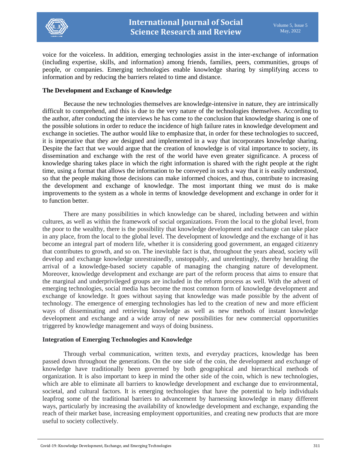

voice for the voiceless. In addition, emerging technologies assist in the inter-exchange of information (including expertise, skills, and information) among friends, families, peers, communities, groups of people, or companies. Emerging technologies enable knowledge sharing by simplifying access to information and by reducing the barriers related to time and distance.

#### **The Development and Exchange of Knowledge**

Because the new technologies themselves are knowledge-intensive in nature, they are intrinsically difficult to comprehend, and this is due to the very nature of the technologies themselves. According to the author, after conducting the interviews he has come to the conclusion that knowledge sharing is one of the possible solutions in order to reduce the incidence of high failure rates in knowledge development and exchange in societies. The author would like to emphasize that, in order for these technologies to succeed, it is imperative that they are designed and implemented in a way that incorporates knowledge sharing. Despite the fact that we would argue that the creation of knowledge is of vital importance to society, its dissemination and exchange with the rest of the world have even greater significance. A process of knowledge sharing takes place in which the right information is shared with the right people at the right time, using a format that allows the information to be conveyed in such a way that it is easily understood, so that the people making those decisions can make informed choices, and thus, contribute to increasing the development and exchange of knowledge. The most important thing we must do is make improvements to the system as a whole in terms of knowledge development and exchange in order for it to function better.

There are many possibilities in which knowledge can be shared, including between and within cultures, as well as within the framework of social organizations. From the local to the global level, from the poor to the wealthy, there is the possibility that knowledge development and exchange can take place in any place, from the local to the global level. The development of knowledge and the exchange of it has become an integral part of modern life, whether it is considering good government, an engaged citizenry that contributes to growth, and so on. The inevitable fact is that, throughout the years ahead, society will develop and exchange knowledge unrestrainedly, unstoppably, and unrelentingly, thereby heralding the arrival of a knowledge-based society capable of managing the changing nature of development. Moreover, knowledge development and exchange are part of the reform process that aims to ensure that the marginal and underprivileged groups are included in the reform process as well. With the advent of emerging technologies, social media has become the most common form of knowledge development and exchange of knowledge. It goes without saying that knowledge was made possible by the advent of technology. The emergence of emerging technologies has led to the creation of new and more efficient ways of disseminating and retrieving knowledge as well as new methods of instant knowledge development and exchange and a wide array of new possibilities for new commercial opportunities triggered by knowledge management and ways of doing business.

# **Integration of Emerging Technologies and Knowledge**

Through verbal communication, written texts, and everyday practices, knowledge has been passed down throughout the generations. On the one side of the coin, the development and exchange of knowledge have traditionally been governed by both geographical and hierarchical methods of organization. It is also important to keep in mind the other side of the coin, which is new technologies, which are able to eliminate all barriers to knowledge development and exchange due to environmental, societal, and cultural factors. It is emerging technologies that have the potential to help individuals leapfrog some of the traditional barriers to advancement by harnessing knowledge in many different ways, particularly by increasing the availability of knowledge development and exchange, expanding the reach of their market base, increasing employment opportunities, and creating new products that are more useful to society collectively.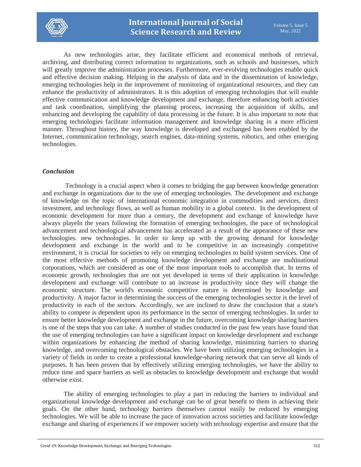

As new technologies arise, they facilitate efficient and economical methods of retrieval, archiving, and distributing correct information to organizations, such as schools and businesses, which will greatly improve the administration processes. Furthermore, ever-evolving technologies enable quick and effective decision making. Helping in the analysis of data and in the dissemination of knowledge, emerging technologies help in the improvement of monitoring of organizational resources, and they can enhance the productivity of administrators. It is this adoption of emerging technologies that will enable effective communication and knowledge development and exchange, therefore enhancing both activities and task coordination, simplifying the planning process, increasing the acquisition of skills, and enhancing and developing the capability of data processing in the future. It is also important to note that emerging technologies facilitate information management and knowledge sharing in a more efficient manner. Throughout history, the way knowledge is developed and exchanged has been enabled by the Internet, communication technology, search engines, data-mining systems, robotics, and other emerging technologies.

# *Conclusion*

Technology is a crucial aspect when it comes to bridging the gap between knowledge generation and exchange in organizations due to the use of emerging technologies. The development and exchange of knowledge on the topic of international economic integration in commodities and services, direct investment, and technology flows, as well as human mobility in a global context. In the development of economic development for more than a century, the development and exchange of knowledge have always playeIn the years following the formation of emerging technologies, the pace of technological advancement and technological advancement has accelerated as a result of the appearance of these new technologies. new technologies. In order to keep up with the growing demand for knowledge development and exchange in the world and to be competitive in an increasingly competitive environment, it is crucial for societies to rely on emerging technologies to build system services. One of the most effective methods of promoting knowledge development and exchange are multinational corporations, which are considered as one of the most important tools to accomplish that. In terms of economic growth, technologies that are not yet developed in terms of their application in knowledge development and exchange will contribute to an increase in productivity since they will change the economic structure. The world's economic competitive nature is determined by knowledge and productivity. A major factor in determining the success of the emerging technologies sector is the level of productivity in each of the sectors. Accordingly, we are inclined to draw the conclusion that a state's ability to compete is dependent upon its performance in the sector of emerging technologies. In order to ensure better knowledge development and exchange in the future, overcoming knowledge sharing barriers is one of the steps that you can take. A number of studies conducted in the past few years have found that the use of emerging technologies can have a significant impact on knowledge development and exchange within organizations by enhancing the method of sharing knowledge, minimizing barriers to sharing knowledge, and overcoming technological obstacles. We have been utilizing emerging technologies in a variety of fields in order to create a professional knowledge-sharing network that can serve all kinds of purposes. It has been proven that by effectively utilizing emerging technologies, we have the ability to reduce time and space barriers as well as obstacles to knowledge development and exchange that would otherwise exist.

The ability of emerging technologies to play a part in reducing the barriers to individual and organizational knowledge development and exchange can be of great benefit to them in achieving their goals. On the other hand, technology barriers themselves cannot easily be reduced by emerging technologies. We will be able to increase the pace of innovation across societies and facilitate knowledge exchange and sharing of experiences if we empower society with technology expertise and ensure that the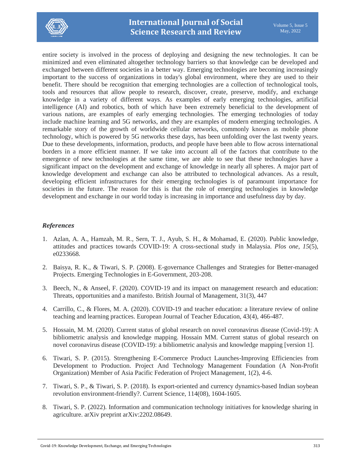

entire society is involved in the process of deploying and designing the new technologies. It can be minimized and even eliminated altogether technology barriers so that knowledge can be developed and exchanged between different societies in a better way. Emerging technologies are becoming increasingly important to the success of organizations in today's global environment, where they are used to their benefit. There should be recognition that emerging technologies are a collection of technological tools, tools and resources that allow people to research, discover, create, preserve, modify, and exchange knowledge in a variety of different ways. As examples of early emerging technologies, artificial intelligence (AI) and robotics, both of which have been extremely beneficial to the development of various nations, are examples of early emerging technologies. The emerging technologies of today include machine learning and 5G networks, and they are examples of modern emerging technologies. A remarkable story of the growth of worldwide cellular networks, commonly known as mobile phone technology, which is powered by 5G networks these days, has been unfolding over the last twenty years. Due to these developments, information, products, and people have been able to flow across international borders in a more efficient manner. If we take into account all of the factors that contribute to the emergence of new technologies at the same time, we are able to see that these technologies have a significant impact on the development and exchange of knowledge in nearly all spheres. A major part of knowledge development and exchange can also be attributed to technological advances. As a result, developing efficient infrastructures for their emerging technologies is of paramount importance for societies in the future. The reason for this is that the role of emerging technologies in knowledge development and exchange in our world today is increasing in importance and usefulness day by day.

# *References*

- 1. Azlan, A. A., Hamzah, M. R., Sern, T. J., Ayub, S. H., & Mohamad, E. (2020). Public knowledge, attitudes and practices towards COVID-19: A cross-sectional study in Malaysia. *Plos one*, *15*(5), e0233668.
- 2. Baisya, R. K., & Tiwari, S. P. (2008). E-governance Challenges and Strategies for Better-managed Projects. Emerging Technologies in E-Government, 203-208.
- 3. Beech, N., & Anseel, F. (2020). COVID‐19 and its impact on management research and education: Threats, opportunities and a manifesto. British Journal of Management, 31(3), 447
- 4. Carrillo, C., & Flores, M. A. (2020). COVID-19 and teacher education: a literature review of online teaching and learning practices. European Journal of Teacher Education, 43(4), 466-487.
- 5. Hossain, M. M. (2020). Current status of global research on novel coronavirus disease (Covid-19): A bibliometric analysis and knowledge mapping. Hossain MM. Current status of global research on novel coronavirus disease (COVID-19): a bibliometric analysis and knowledge mapping [version 1].
- 6. Tiwari, S. P. (2015). Strengthening E-Commerce Product Launches-Improving Efficiencies from Development to Production. Project And Technology Management Foundation (A Non-Profit Organization) Member of Asia Pacific Federation of Project Management, 1(2), 4-6.
- 7. Tiwari, S. P., & Tiwari, S. P. (2018). Is export-oriented and currency dynamics-based Indian soybean revolution environment-friendly?. Current Science, 114(08), 1604-1605.
- 8. Tiwari, S. P. (2022). Information and communication technology initiatives for knowledge sharing in agriculture. arXiv preprint arXiv:2202.08649.